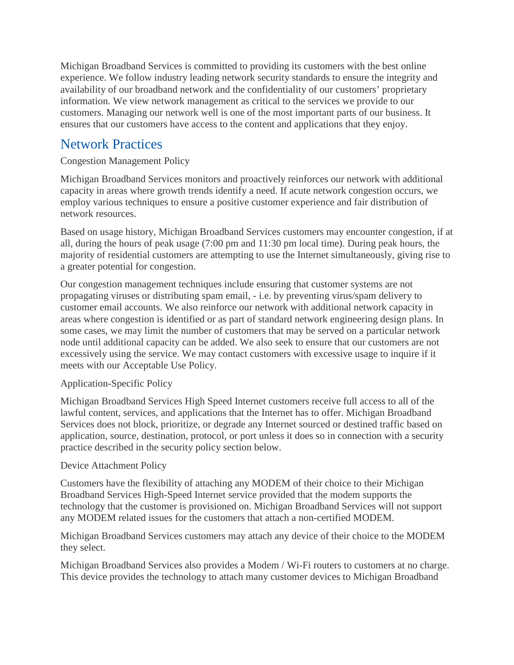Michigan Broadband Services is committed to providing its customers with the best online experience. We follow industry leading network security standards to ensure the integrity and availability of our broadband network and the confidentiality of our customers' proprietary information. We view network management as critical to the services we provide to our customers. Managing our network well is one of the most important parts of our business. It ensures that our customers have access to the content and applications that they enjoy.

# Network Practices

## Congestion Management Policy

Michigan Broadband Services monitors and proactively reinforces our network with additional capacity in areas where growth trends identify a need. If acute network congestion occurs, we employ various techniques to ensure a positive customer experience and fair distribution of network resources.

Based on usage history, Michigan Broadband Services customers may encounter congestion, if at all, during the hours of peak usage (7:00 pm and 11:30 pm local time). During peak hours, the majority of residential customers are attempting to use the Internet simultaneously, giving rise to a greater potential for congestion.

Our congestion management techniques include ensuring that customer systems are not propagating viruses or distributing spam email, - i.e. by preventing virus/spam delivery to customer email accounts. We also reinforce our network with additional network capacity in areas where congestion is identified or as part of standard network engineering design plans. In some cases, we may limit the number of customers that may be served on a particular network node until additional capacity can be added. We also seek to ensure that our customers are not excessively using the service. We may contact customers with excessive usage to inquire if it meets with our Acceptable Use Policy.

### Application-Specific Policy

Michigan Broadband Services High Speed Internet customers receive full access to all of the lawful content, services, and applications that the Internet has to offer. Michigan Broadband Services does not block, prioritize, or degrade any Internet sourced or destined traffic based on application, source, destination, protocol, or port unless it does so in connection with a security practice described in the security policy section below.

### Device Attachment Policy

Customers have the flexibility of attaching any MODEM of their choice to their Michigan Broadband Services High-Speed Internet service provided that the modem supports the technology that the customer is provisioned on. Michigan Broadband Services will not support any MODEM related issues for the customers that attach a non-certified MODEM.

Michigan Broadband Services customers may attach any device of their choice to the MODEM they select.

Michigan Broadband Services also provides a Modem / Wi-Fi routers to customers at no charge. This device provides the technology to attach many customer devices to Michigan Broadband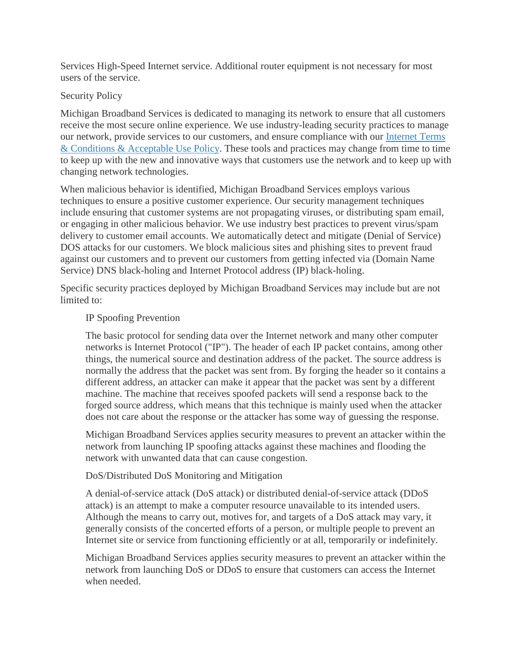Services High-Speed Internet service. Additional router equipment is not necessary for most users of the service.

### Security Policy

Michigan Broadband Services is dedicated to managing its network to ensure that all customers receive the most secure online experience. We use industry-leading security practices to manage our network, provide services to our customers, and ensure compliance with our [Internet Terms](https://www.consolidated.com/Support/Terms-Policies/Internet-Terms-Policies/Internet-Terms-Conditions-and-Acceptable-Use-Policy)  [& Conditions & Acceptable Use Policy.](https://www.consolidated.com/Support/Terms-Policies/Internet-Terms-Policies/Internet-Terms-Conditions-and-Acceptable-Use-Policy) These tools and practices may change from time to time to keep up with the new and innovative ways that customers use the network and to keep up with changing network technologies.

When malicious behavior is identified, Michigan Broadband Services employs various techniques to ensure a positive customer experience. Our security management techniques include ensuring that customer systems are not propagating viruses, or distributing spam email, or engaging in other malicious behavior. We use industry best practices to prevent virus/spam delivery to customer email accounts. We automatically detect and mitigate (Denial of Service) DOS attacks for our customers. We block malicious sites and phishing sites to prevent fraud against our customers and to prevent our customers from getting infected via (Domain Name Service) DNS black-holing and Internet Protocol address (IP) black-holing.

Specific security practices deployed by Michigan Broadband Services may include but are not limited to:

### IP Spoofing Prevention

The basic protocol for sending data over the Internet network and many other computer networks is Internet Protocol ("IP"). The header of each IP packet contains, among other things, the numerical source and destination address of the packet. The source address is normally the address that the packet was sent from. By forging the header so it contains a different address, an attacker can make it appear that the packet was sent by a different machine. The machine that receives spoofed packets will send a response back to the forged source address, which means that this technique is mainly used when the attacker does not care about the response or the attacker has some way of guessing the response.

Michigan Broadband Services applies security measures to prevent an attacker within the network from launching IP spoofing attacks against these machines and flooding the network with unwanted data that can cause congestion.

#### DoS/Distributed DoS Monitoring and Mitigation

A denial-of-service attack (DoS attack) or distributed denial-of-service attack (DDoS attack) is an attempt to make a computer resource unavailable to its intended users. Although the means to carry out, motives for, and targets of a DoS attack may vary, it generally consists of the concerted efforts of a person, or multiple people to prevent an Internet site or service from functioning efficiently or at all, temporarily or indefinitely.

Michigan Broadband Services applies security measures to prevent an attacker within the network from launching DoS or DDoS to ensure that customers can access the Internet when needed.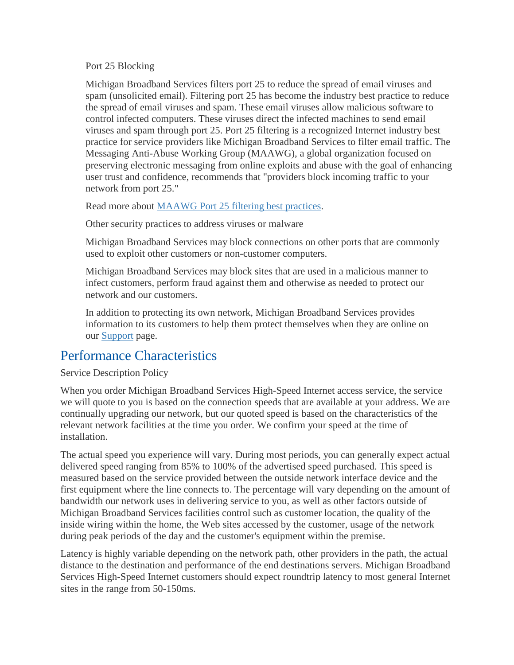Port 25 Blocking

Michigan Broadband Services filters port 25 to reduce the spread of email viruses and spam (unsolicited email). Filtering port 25 has become the industry best practice to reduce the spread of email viruses and spam. These email viruses allow malicious software to control infected computers. These viruses direct the infected machines to send email viruses and spam through port 25. Port 25 filtering is a recognized Internet industry best practice for service providers like Michigan Broadband Services to filter email traffic. The Messaging Anti-Abuse Working Group (MAAWG), a global organization focused on preserving electronic messaging from online exploits and abuse with the goal of enhancing user trust and confidence, recommends that "providers block incoming traffic to your network from port 25."

Read more about [MAAWG Port 25 filtering best practices.](http://www.uceprotect.net/downloads/MAAWGPort25English.pdf)

Other security practices to address viruses or malware

Michigan Broadband Services may block connections on other ports that are commonly used to exploit other customers or non-customer computers.

Michigan Broadband Services may block sites that are used in a malicious manner to infect customers, perform fraud against them and otherwise as needed to protect our network and our customers.

In addition to protecting its own network, Michigan Broadband Services provides information to its customers to help them protect themselves when they are online on our [Support](https://www.consolidated.com/Support) page.

# Performance Characteristics

Service Description Policy

When you order Michigan Broadband Services High-Speed Internet access service, the service we will quote to you is based on the connection speeds that are available at your address. We are continually upgrading our network, but our quoted speed is based on the characteristics of the relevant network facilities at the time you order. We confirm your speed at the time of installation.

The actual speed you experience will vary. During most periods, you can generally expect actual delivered speed ranging from 85% to 100% of the advertised speed purchased. This speed is measured based on the service provided between the outside network interface device and the first equipment where the line connects to. The percentage will vary depending on the amount of bandwidth our network uses in delivering service to you, as well as other factors outside of Michigan Broadband Services facilities control such as customer location, the quality of the inside wiring within the home, the Web sites accessed by the customer, usage of the network during peak periods of the day and the customer's equipment within the premise.

Latency is highly variable depending on the network path, other providers in the path, the actual distance to the destination and performance of the end destinations servers. Michigan Broadband Services High-Speed Internet customers should expect roundtrip latency to most general Internet sites in the range from 50-150ms.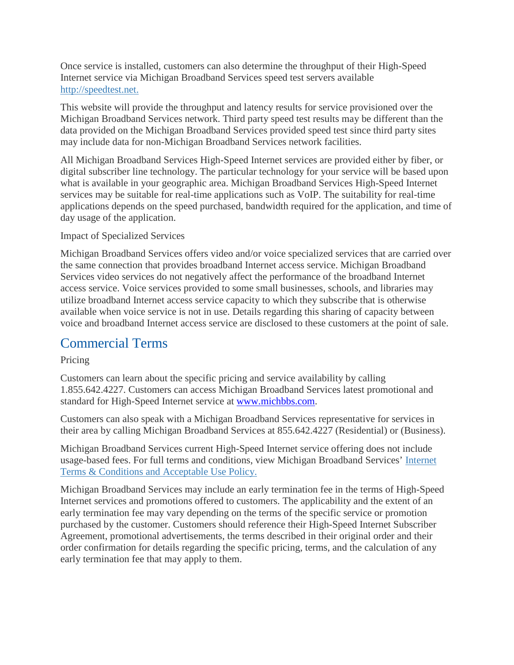Once service is installed, customers can also determine the throughput of their High-Speed Internet service via Michigan Broadband Services speed test servers available http://speedtest.net.

This website will provide the throughput and latency results for service provisioned over the Michigan Broadband Services network. Third party speed test results may be different than the data provided on the Michigan Broadband Services provided speed test since third party sites may include data for non-Michigan Broadband Services network facilities.

All Michigan Broadband Services High-Speed Internet services are provided either by fiber, or digital subscriber line technology. The particular technology for your service will be based upon what is available in your geographic area. Michigan Broadband Services High-Speed Internet services may be suitable for real-time applications such as VoIP. The suitability for real-time applications depends on the speed purchased, bandwidth required for the application, and time of day usage of the application.

### Impact of Specialized Services

Michigan Broadband Services offers video and/or voice specialized services that are carried over the same connection that provides broadband Internet access service. Michigan Broadband Services video services do not negatively affect the performance of the broadband Internet access service. Voice services provided to some small businesses, schools, and libraries may utilize broadband Internet access service capacity to which they subscribe that is otherwise available when voice service is not in use. Details regarding this sharing of capacity between voice and broadband Internet access service are disclosed to these customers at the point of sale.

# Commercial Terms

### Pricing

Customers can learn about the specific pricing and service availability by calling 1.855.642.4227. Customers can access Michigan Broadband Services latest promotional and standard for High-Speed Internet service at [www.michbbs.com.](http://www.michbbs.com/)

Customers can also speak with a Michigan Broadband Services representative for services in their area by calling Michigan Broadband Services at 855.642.4227 (Residential) or (Business).

Michigan Broadband Services current High-Speed Internet service offering does not include usage-based fees. For full terms and conditions, view Michigan Broadband Services' [Internet](https://www.consolidated.com/Support/Terms-Policies/Internet-Terms-Policies/Internet-Terms-Conditions-and-Acceptable-Use-Policy)  [Terms & Conditions and Acceptable Use Policy.](https://www.consolidated.com/Support/Terms-Policies/Internet-Terms-Policies/Internet-Terms-Conditions-and-Acceptable-Use-Policy)

Michigan Broadband Services may include an early termination fee in the terms of High-Speed Internet services and promotions offered to customers. The applicability and the extent of an early termination fee may vary depending on the terms of the specific service or promotion purchased by the customer. Customers should reference their High-Speed Internet Subscriber Agreement, promotional advertisements, the terms described in their original order and their order confirmation for details regarding the specific pricing, terms, and the calculation of any early termination fee that may apply to them.